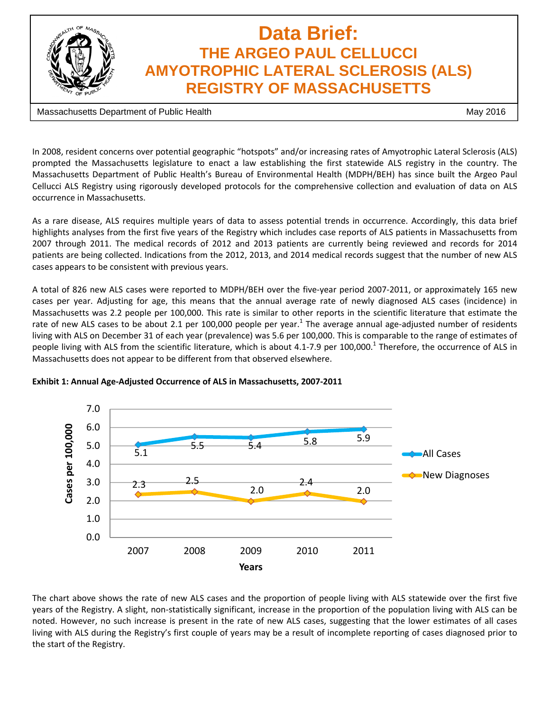

## **Data Brief: THE ARGEO PAUL CELLUCCI AMYOTROPHIC LATERAL SCLEROSIS (ALS) REGISTRY OF MASSACHUSETTS**

Massachusetts Department of Public Health May 2016

In 2008, resident concerns over potential geographic "hotspots" and/or increasing rates of Amyotrophic Lateral Sclerosis (ALS) prompted the Massachusetts legislature to enact a law establishing the first statewide ALS registry in the country. The Massachusetts Department of Public Health's Bureau of Environmental Health (MDPH/BEH) has since built the Argeo Paul Cellucci ALS Registry using rigorously developed protocols for the comprehensive collection and evaluation of data on ALS occurrence in Massachusetts.

As a rare disease, ALS requires multiple years of data to assess potential trends in occurrence. Accordingly, this data brief highlights analyses from the first five years of the Registry which includes case reports of ALS patients in Massachusetts from 2007 through 2011. The medical records of 2012 and 2013 patients are currently being reviewed and records for 2014 patients are being collected. Indications from the 2012, 2013, and 2014 medical records suggest that the number of new ALS cases appears to be consistent with previous years.

A total of 826 new ALS cases were reported to MDPH/BEH over the five‐year period 2007‐2011, or approximately 165 new cases per year. Adjusting for age, this means that the annual average rate of newly diagnosed ALS cases (incidence) in Massachusetts was 2.2 people per 100,000. This rate is similar to other reports in the scientific literature that estimate the rate of new ALS cases to be about 2.1 per 100,000 people per year. $1$  The average annual age-adjusted number of residents living with ALS on December 31 of each year (prevalence) was 5.6 per 100,000. This is comparable to the range of estimates of people living with ALS from the scientific literature, which is about 4.1-7.9 per  $100,000$ .<sup>1</sup> Therefore, the occurrence of ALS in Massachusetts does not appear to be different from that observed elsewhere.



**Exhibit 1: Annual Age‐Adjusted Occurrence of ALS in Massachusetts, 2007‐2011**

The chart above shows the rate of new ALS cases and the proportion of people living with ALS statewide over the first five years of the Registry. A slight, non‐statistically significant, increase in the proportion of the population living with ALS can be noted. However, no such increase is present in the rate of new ALS cases, suggesting that the lower estimates of all cases living with ALS during the Registry's first couple of years may be a result of incomplete reporting of cases diagnosed prior to the start of the Registry.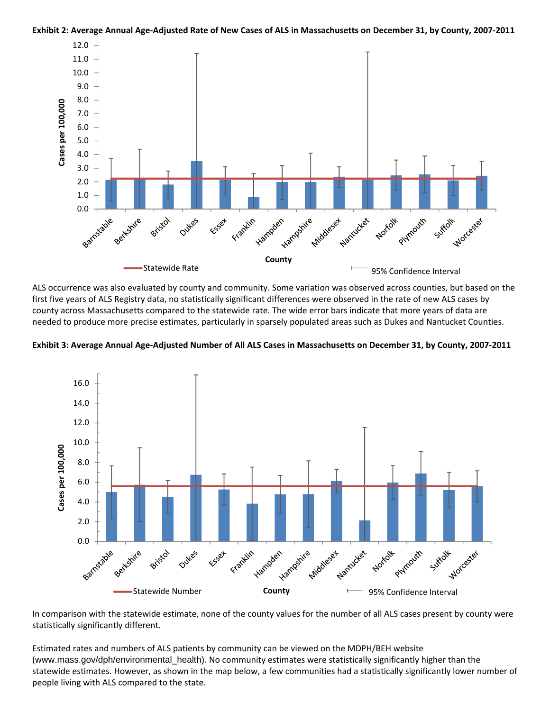

Exhibit 2: Average Annual Age-Adjusted Rate of New Cases of ALS in Massachusetts on December 31, by County, 2007-2011

ALS occurrence was also evaluated by county and community. Some variation was observed across counties, but based on the first five years of ALS Registry data, no statistically significant differences were observed in the rate of new ALS cases by county across Massachusetts compared to the statewide rate. The wide error bars indicate that more years of data are needed to produce more precise estimates, particularly in sparsely populated areas such as Dukes and Nantucket Counties.

Exhibit 3: Average Annual Age-Adjusted Number of All ALS Cases in Massachusetts on December 31, by County, 2007-2011



In comparison with the statewide estimate, none of the county values for the number of all ALS cases present by county were statistically significantly different.

Estimated rates and numbers of ALS patients by community can be viewed on the MDPH/BEH website (www.mass.gov/dph/environmental\_health). No community estimates were statistically significantly higher than the statewide estimates. However, as shown in the map below, a few communities had a statistically significantly lower number of people living with ALS compared to the state.